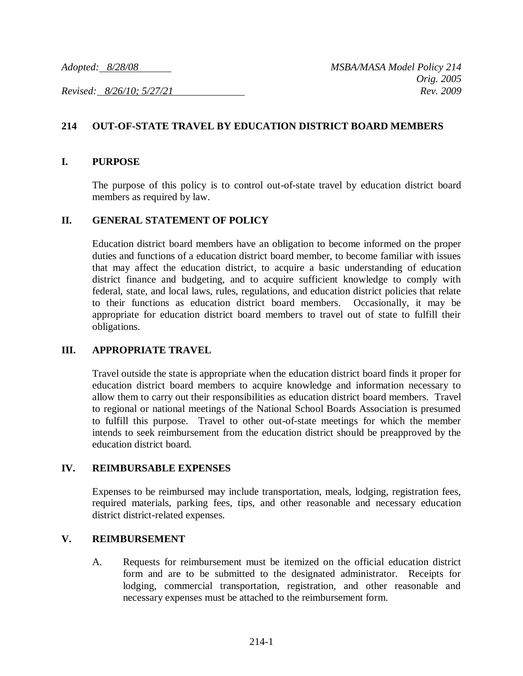*Revised: 8/26/10; 5/27/21 Rev. 2009*

# **214 OUT-OF-STATE TRAVEL BY EDUCATION DISTRICT BOARD MEMBERS**

### **I. PURPOSE**

The purpose of this policy is to control out-of-state travel by education district board members as required by law.

### **II. GENERAL STATEMENT OF POLICY**

Education district board members have an obligation to become informed on the proper duties and functions of a education district board member, to become familiar with issues that may affect the education district, to acquire a basic understanding of education district finance and budgeting, and to acquire sufficient knowledge to comply with federal, state, and local laws, rules, regulations, and education district policies that relate to their functions as education district board members. Occasionally, it may be appropriate for education district board members to travel out of state to fulfill their obligations.

## **III. APPROPRIATE TRAVEL**

Travel outside the state is appropriate when the education district board finds it proper for education district board members to acquire knowledge and information necessary to allow them to carry out their responsibilities as education district board members. Travel to regional or national meetings of the National School Boards Association is presumed to fulfill this purpose. Travel to other out-of-state meetings for which the member intends to seek reimbursement from the education district should be preapproved by the education district board.

#### **IV. REIMBURSABLE EXPENSES**

Expenses to be reimbursed may include transportation, meals, lodging, registration fees, required materials, parking fees, tips, and other reasonable and necessary education district district-related expenses.

#### **V. REIMBURSEMENT**

A. Requests for reimbursement must be itemized on the official education district form and are to be submitted to the designated administrator. Receipts for lodging, commercial transportation, registration, and other reasonable and necessary expenses must be attached to the reimbursement form.